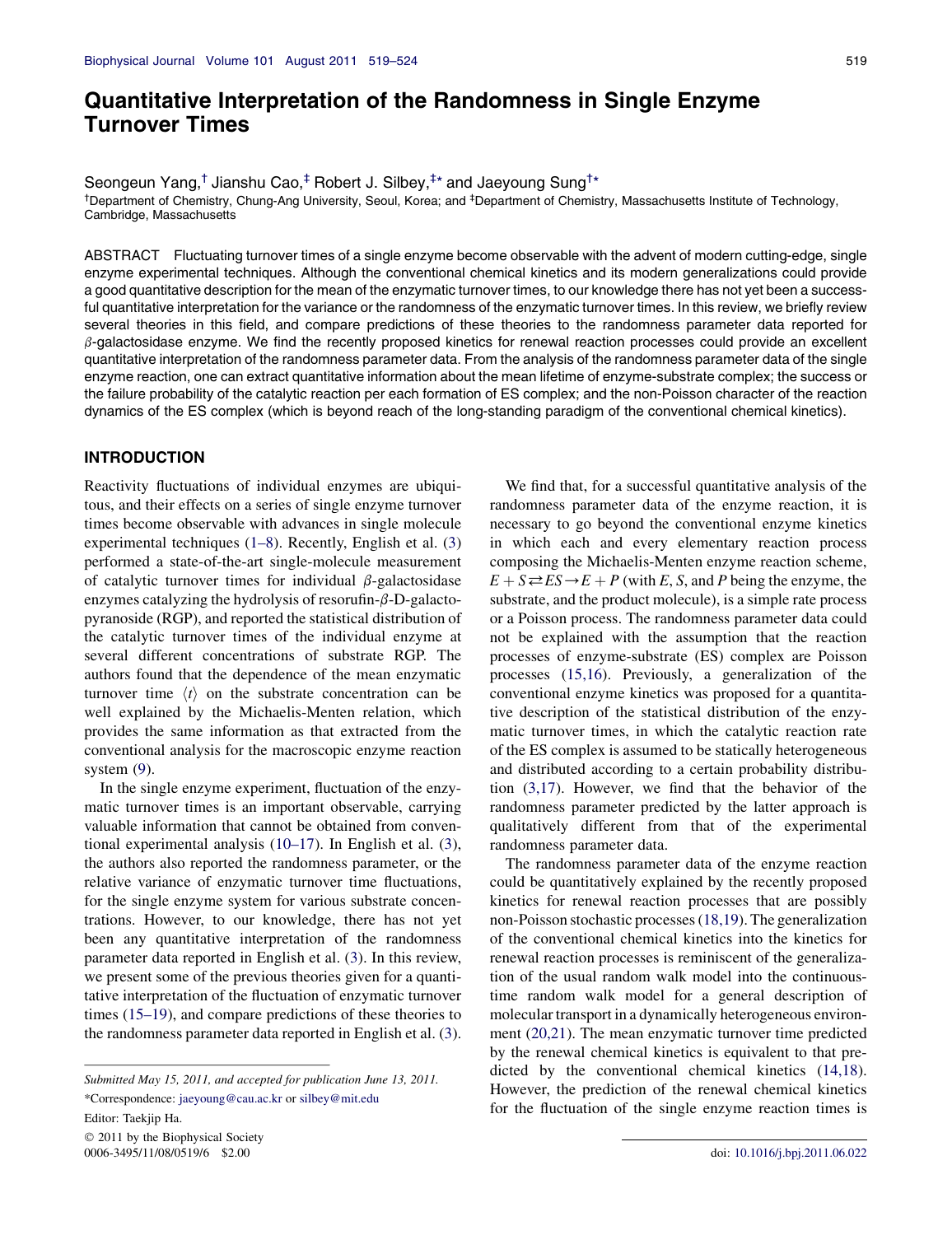# Quantitative Interpretation of the Randomness in Single Enzyme Turnover Times

Seongeun Yang,<sup>†</sup> Jianshu Cao,<sup>‡</sup> Robert J. Silbey,<sup>‡\*</sup> and Jaeyoung Sung<sup>†\*</sup>

<sup>†</sup>Department of Chemistry, Chung-Ang University, Seoul, Korea; and <sup>‡</sup>Department of Chemistry, Massachusetts Institute of Technology, Cambridge, Massachusetts

ABSTRACT Fluctuating turnover times of a single enzyme become observable with the advent of modern cutting-edge, single enzyme experimental techniques. Although the conventional chemical kinetics and its modern generalizations could provide a good quantitative description for the mean of the enzymatic turnover times, to our knowledge there has not yet been a successful quantitative interpretation for the variance or the randomness of the enzymatic turnover times. In this review, we briefly review several theories in this field, and compare predictions of these theories to the randomness parameter data reported for  $\beta$ -galactosidase enzyme. We find the recently proposed kinetics for renewal reaction processes could provide an excellent quantitative interpretation of the randomness parameter data. From the analysis of the randomness parameter data of the single enzyme reaction, one can extract quantitative information about the mean lifetime of enzyme-substrate complex; the success or the failure probability of the catalytic reaction per each formation of ES complex; and the non-Poisson character of the reaction dynamics of the ES complex (which is beyond reach of the long-standing paradigm of the conventional chemical kinetics).

## INTRODUCTION

Reactivity fluctuations of individual enzymes are ubiquitous, and their effects on a series of single enzyme turnover times become observable with advances in single molecule experimental techniques [\(1–8](#page-4-0)). Recently, English et al. [\(3](#page-5-0)) performed a state-of-the-art single-molecule measurement of catalytic turnover times for individual  $\beta$ -galactosidase enzymes catalyzing the hydrolysis of resorufin- $\beta$ -D-galactopyranoside (RGP), and reported the statistical distribution of the catalytic turnover times of the individual enzyme at several different concentrations of substrate RGP. The authors found that the dependence of the mean enzymatic turnover time  $\langle t \rangle$  on the substrate concentration can be well explained by the Michaelis-Menten relation, which provides the same information as that extracted from the conventional analysis for the macroscopic enzyme reaction system ([9\)](#page-5-0).

In the single enzyme experiment, fluctuation of the enzymatic turnover times is an important observable, carrying valuable information that cannot be obtained from conventional experimental analysis ([10–17](#page-5-0)). In English et al. ([3\)](#page-5-0), the authors also reported the randomness parameter, or the relative variance of enzymatic turnover time fluctuations, for the single enzyme system for various substrate concentrations. However, to our knowledge, there has not yet been any quantitative interpretation of the randomness parameter data reported in English et al. ([3\)](#page-5-0). In this review, we present some of the previous theories given for a quantitative interpretation of the fluctuation of enzymatic turnover times [\(15–19](#page-5-0)), and compare predictions of these theories to the randomness parameter data reported in English et al. ([3\)](#page-5-0).

Editor: Taekjip Ha.

 2011 by the Biophysical Society 0006-3495/11/08/0519/6 \$2.00 doi: [10.1016/j.bpj.2011.06.022](http://dx.doi.org/10.1016/j.bpj.2011.06.022)

We find that, for a successful quantitative analysis of the randomness parameter data of the enzyme reaction, it is necessary to go beyond the conventional enzyme kinetics in which each and every elementary reaction process composing the Michaelis-Menten enzyme reaction scheme,  $E + S \rightleftharpoons ES \rightarrow E + P$  (with E, S, and P being the enzyme, the substrate, and the product molecule), is a simple rate process or a Poisson process. The randomness parameter data could not be explained with the assumption that the reaction processes of enzyme-substrate (ES) complex are Poisson processes [\(15,16\)](#page-5-0). Previously, a generalization of the conventional enzyme kinetics was proposed for a quantitative description of the statistical distribution of the enzymatic turnover times, in which the catalytic reaction rate of the ES complex is assumed to be statically heterogeneous and distributed according to a certain probability distribution ([3,17](#page-5-0)). However, we find that the behavior of the randomness parameter predicted by the latter approach is qualitatively different from that of the experimental randomness parameter data.

The randomness parameter data of the enzyme reaction could be quantitatively explained by the recently proposed kinetics for renewal reaction processes that are possibly non-Poisson stochastic processes ([18,19](#page-5-0)). The generalization of the conventional chemical kinetics into the kinetics for renewal reaction processes is reminiscent of the generalization of the usual random walk model into the continuoustime random walk model for a general description of molecular transport in a dynamically heterogeneous environment ([20,21](#page-5-0)). The mean enzymatic turnover time predicted by the renewal chemical kinetics is equivalent to that predicted by the conventional chemical kinetics [\(14,18\)](#page-5-0). However, the prediction of the renewal chemical kinetics for the fluctuation of the single enzyme reaction times is

Submitted May 15, 2011, and accepted for publication June 13, 2011. \*Correspondence: [jaeyoung@cau.ac.kr](mailto:jaeyoung@cau.ac.kr) or [silbey@mit.edu](mailto:silbey@mit.edu)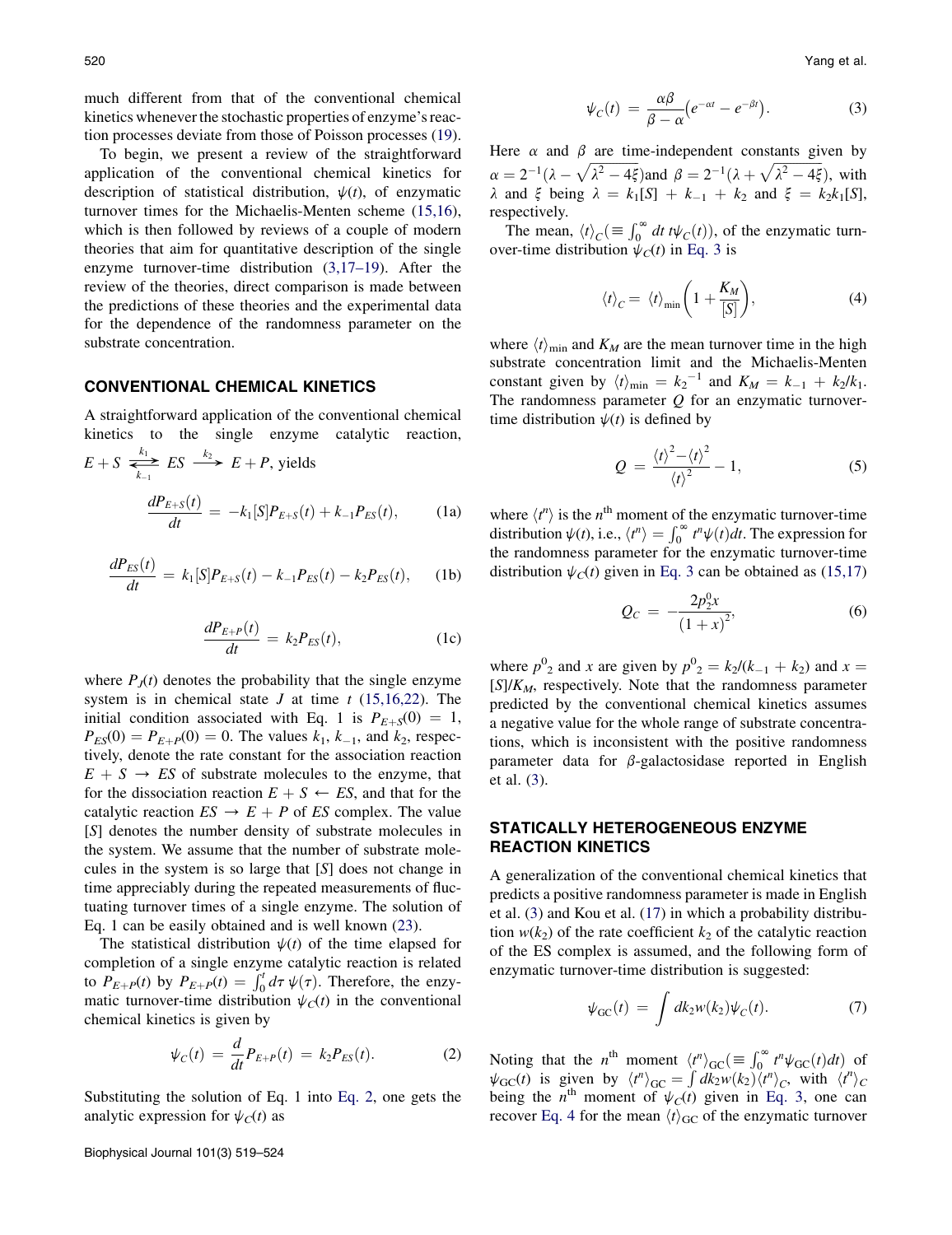much different from that of the conventional chemical kinetics whenever the stochastic properties of enzyme's reaction processes deviate from those of Poisson processes ([19\)](#page-5-0).

To begin, we present a review of the straightforward application of the conventional chemical kinetics for description of statistical distribution,  $\psi(t)$ , of enzymatic turnover times for the Michaelis-Menten scheme [\(15,16\)](#page-5-0), which is then followed by reviews of a couple of modern theories that aim for quantitative description of the single enzyme turnover-time distribution [\(3,17–19](#page-5-0)). After the review of the theories, direct comparison is made between the predictions of these theories and the experimental data for the dependence of the randomness parameter on the substrate concentration.

## CONVENTIONAL CHEMICAL KINETICS

A straightforward application of the conventional chemical kinetics to the single enzyme catalytic reaction,

$$
E + S \overset{k_1}{\underset{k_{-1}}{\rightleftharpoons}} ES \overset{k_2}{\longrightarrow} E + P, \text{ yields}
$$
\n
$$
\frac{dP_{E+S}(t)}{dt} = -k_1[S]P_{E+S}(t) + k_{-1}P_{ES}(t), \qquad (1a)
$$

$$
\frac{dP_{ES}(t)}{dt} = k_1[S]P_{E+S}(t) - k_{-1}P_{ES}(t) - k_2P_{ES}(t), \quad (1b)
$$

$$
\frac{dP_{E+P}(t)}{dt} = k_2 P_{ES}(t),\tag{1c}
$$

where  $P_J(t)$  denotes the probability that the single enzyme system is in chemical state J at time  $t$  [\(15,16,22](#page-5-0)). The initial condition associated with Eq. 1 is  $P_{E+S}(0) = 1$ ,  $P_{ES}(0) = P_{E+P}(0) = 0$ . The values  $k_1, k_{-1}$ , and  $k_2$ , respectively, denote the rate constant for the association reaction  $E + S \rightarrow ES$  of substrate molecules to the enzyme, that for the dissociation reaction  $E + S \leftarrow ES$ , and that for the catalytic reaction  $ES \rightarrow E + P$  of ES complex. The value [S] denotes the number density of substrate molecules in the system. We assume that the number of substrate molecules in the system is so large that [S] does not change in time appreciably during the repeated measurements of fluctuating turnover times of a single enzyme. The solution of Eq. 1 can be easily obtained and is well known ([23\)](#page-5-0).

The statistical distribution  $\psi(t)$  of the time elapsed for completion of a single enzyme catalytic reaction is related to  $P_{E+P}(t)$  by  $P_{E+P}(t) = \int_0^t d\tau \psi(\tau)$ . Therefore, the enzymatic turnover-time distribution  $\psi_C(t)$  in the conventional chemical kinetics is given by

$$
\psi_C(t) = \frac{d}{dt} P_{E+P}(t) = k_2 P_{ES}(t). \tag{2}
$$

Substituting the solution of Eq. 1 into Eq. 2, one gets the analytic expression for  $\psi_C(t)$  as

$$
\psi_C(t) = \frac{\alpha \beta}{\beta - \alpha} \left( e^{-\alpha t} - e^{-\beta t} \right). \tag{3}
$$

Here  $\alpha$  and  $\beta$  are time-independent constants given by  $\alpha = 2^{-1}(\lambda - \sqrt{\lambda^2 - 4\xi})$  and  $\beta = 2^{-1}(\lambda + \sqrt{\lambda^2 - 4\xi})$ , with  $\lambda$  and  $\xi$  being  $\lambda = k_1[S] + k_{-1} + k_2$  and  $\xi = k_2k_1[S]$ , respectively.

The mean,  $\langle t \rangle_C (\equiv \int_0^\infty dt \, t \psi_C(t))$ , of the enzymatic turnover-time distribution  $\psi_C(t)$  in Eq. 3 is

$$
\langle t \rangle_C = \langle t \rangle_{\min} \bigg( 1 + \frac{K_M}{[S]} \bigg), \tag{4}
$$

where  $\langle t \rangle_{\text{min}}$  and  $K_M$  are the mean turnover time in the high substrate concentration limit and the Michaelis-Menten constant given by  $\langle t \rangle_{\text{min}} = k_2^{-1}$  and  $K_M = k_{-1} + k_2/k_1$ . The randomness parameter  $Q$  for an enzymatic turnovertime distribution  $\psi(t)$  is defined by

$$
Q = \frac{\langle t \rangle^2 - \langle t \rangle^2}{\langle t \rangle^2} - 1, \tag{5}
$$

where  $\langle t^n \rangle$  is the n<sup>th</sup> moment of the enzymatic turnover-time distribution  $\psi(t)$ , i.e.,  $\langle t^n \rangle = \int_0^\infty t^n \psi(t) dt$ . The expression for the randomness parameter for the enzymatic turnover-time distribution  $\psi_C(t)$  given in Eq. 3 can be obtained as ([15,17](#page-5-0))

$$
Q_C = -\frac{2p_2^0 x}{(1+x)^2},\tag{6}
$$

where  $p^0_2$  and x are given by  $p^0_2 = k_2/(k_{-1} + k_2)$  and  $x =$  $[S]/K_M$ , respectively. Note that the randomness parameter predicted by the conventional chemical kinetics assumes a negative value for the whole range of substrate concentrations, which is inconsistent with the positive randomness parameter data for  $\beta$ -galactosidase reported in English et al. ([3\)](#page-5-0).

# STATICALLY HETEROGENEOUS ENZYME REACTION KINETICS

A generalization of the conventional chemical kinetics that predicts a positive randomness parameter is made in English et al. ([3](#page-5-0)) and Kou et al. ([17\)](#page-5-0) in which a probability distribution  $w(k_2)$  of the rate coefficient  $k_2$  of the catalytic reaction of the ES complex is assumed, and the following form of enzymatic turnover-time distribution is suggested:

$$
\psi_{\rm GC}(t) = \int dk_2 w(k_2) \psi_C(t). \tag{7}
$$

Noting that the *n*<sup>th</sup> moment  $\langle t^n \rangle_{\text{GC}} (\equiv \int_0^\infty t^n \psi_{\text{GC}}(t) dt)$  of  $\psi_{\text{GC}}(t)$  is given by  $\langle t^n \rangle_{\text{GC}} = \int dk_2 w(k_2) \langle t^n \rangle_c$ , with  $\langle t^n \rangle_c$ being the n<sup>th</sup> moment of  $\psi_c(t)$  given in Eq. 3, one can recover Eq. 4 for the mean  $\langle t \rangle$ <sub>GC</sub> of the enzymatic turnover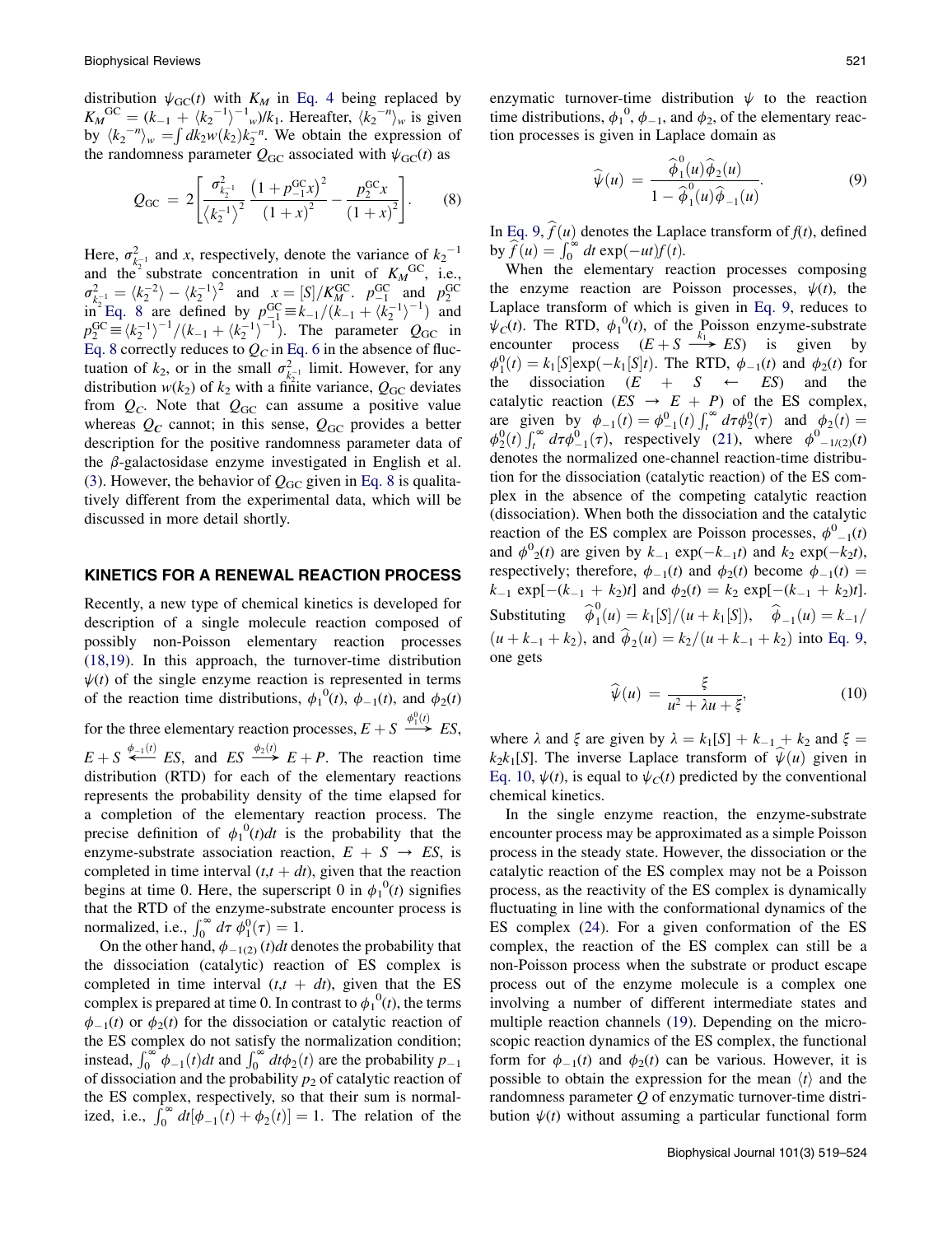distribution  $\psi_{\text{GC}}(t)$  with  $K_M$  in Eq. 4 being replaced by  $K_M^{\text{GC}} = (k_{-1} + \langle k_2^{-1} \rangle^{-1} w) / k_1$ . Hereafter,  $\langle k_2^{-n} \rangle_w$  is given by  $\langle k_2^{-n} \rangle_w = \int dk_2 w(k_2) k_2^{-n}$ . We obtain the expression of the randomness parameter  $Q_{\text{GC}}$  associated with  $\psi_{\text{GC}}(t)$  as

$$
Q_{\rm GC} = 2 \left[ \frac{\sigma_{k_2^{-1}}^2}{\left\langle k_2^{-1} \right\rangle^2} \frac{\left(1 + p_{-1}^{\rm GC} x\right)^2}{\left(1 + x\right)^2} - \frac{p_2^{\rm GC} x}{\left(1 + x\right)^2} \right].
$$
 (8)

Here,  $\sigma_{k_2}^2$  and x, respectively, denote the variance of  $k_2^{-1}$ and the<sup>2</sup> substrate concentration in unit of  $K_M^{\text{GC}}$ , i.e.,  $\sigma_{k_2^{-1}}^2 = \langle k_2^{-2} \rangle - \langle k_2^{-1} \rangle^2$  and  $x = [S] / K_M^{GC}$ .  $p_{-1}^{GC}$  and  $p_2^{GC}$ <br>in Eq. 8 are defined by  $p_{-1}^{GC} \equiv k_{-1}/(k_{-1} + \langle k_2^{-1} \rangle^{-1})$  and<br> $p_2^{GC} \equiv \langle k_2^{-1} \rangle^{-1}/(k_{-1} + \langle k_2^{-1} \rangle^{-1})$ . The parameter  $Q_{GC}$  in Eq. 8 correctly reduces to  $Q_C$  in Eq. 6 in the absence of fluctuation of  $k_2$ , or in the small  $\sigma_{k-1}^2$  limit. However, for any distribution  $w(k_2)$  of  $k_2$  with a finite variance,  $Q_{\text{GC}}$  deviates from  $Q_C$ . Note that  $Q_{\text{GC}}$  can assume a positive value whereas  $Q_C$  cannot; in this sense,  $Q_{GC}$  provides a better description for the positive randomness parameter data of the  $\beta$ -galactosidase enzyme investigated in English et al. ([3\)](#page-5-0). However, the behavior of  $Q_{\text{GC}}$  given in Eq. 8 is qualitatively different from the experimental data, which will be discussed in more detail shortly.

#### KINETICS FOR A RENEWAL REACTION PROCESS

Recently, a new type of chemical kinetics is developed for description of a single molecule reaction composed of possibly non-Poisson elementary reaction processes ([18,19](#page-5-0)). In this approach, the turnover-time distribution  $\psi(t)$  of the single enzyme reaction is represented in terms of the reaction time distributions,  $\phi_1^0(t)$ ,  $\phi_{-1}(t)$ , and  $\phi_2(t)$ for the three elementary reaction processes,  $E + S \xrightarrow{\phi_1^0(t)} ES$ ,  $E + S \stackrel{\phi_{-1}(t)}{\longleftarrow} ES$ , and  $ES \stackrel{\phi_2(t)}{\longrightarrow} E + P$ . The reaction time distribution (RTD) for each of the elementary reactions represents the probability density of the time elapsed for a completion of the elementary reaction process. The precise definition of  $\phi_1^0(t)dt$  is the probability that the enzyme-substrate association reaction,  $E + S \rightarrow ES$ , is completed in time interval  $(t, t + dt)$ , given that the reaction begins at time 0. Here, the superscript 0 in  $\phi_1^0(t)$  signifies that the RTD of the enzyme-substrate encounter process is normalized, i.e.,  $\int_0^\infty d\tau \phi_1^0(\tau) = 1$ .

On the other hand,  $\phi_{-1(2)}(t)dt$  denotes the probability that the dissociation (catalytic) reaction of ES complex is completed in time interval  $(t, t + dt)$ , given that the ES complex is prepared at time 0. In contrast to  $\phi_1^0(t)$ , the terms  $\phi_{-1}(t)$  or  $\phi_2(t)$  for the dissociation or catalytic reaction of the ES complex do not satisfy the normalization condition; instead,  $\int_0^\infty \phi_{-1}(t) dt$  and  $\int_0^\infty dt \phi_2(t)$  are the probability  $p_{-1}$ of dissociation and the probability  $p_2$  of catalytic reaction of the ES complex, respectively, so that their sum is normalized, i.e.,  $\int_0^\infty dt [\phi_{-1}(t) + \phi_2(t)] = 1$ . The relation of the

enzymatic turnover-time distribution  $\psi$  to the reaction time distributions,  $\phi_1^0$ ,  $\phi_{-1}$ , and  $\phi_2$ , of the elementary reaction processes is given in Laplace domain as

$$
\widehat{\psi}(u) = \frac{\widehat{\phi}_1^0(u)\widehat{\phi}_2(u)}{1 - \widehat{\phi}_1^0(u)\widehat{\phi}_{-1}(u)}.
$$
\n(9)

In Eq. 9,  $\hat{f}(u)$  denotes the Laplace transform of  $f(t)$ , defined by  $\widehat{f}(u) = \int_0^\infty dt \exp(-ut)f(t)$ .

When the elementary reaction processes composing the enzyme reaction are Poisson processes,  $\psi(t)$ , the Laplace transform of which is given in Eq. 9, reduces to  $\psi_C(t)$ . The RTD,  $\phi_1^0(t)$ , of the Poisson enzyme-substrate<br>encounter process  $(E + S \longrightarrow ES)$  is given by  $\phi_1^0(t) = k_1[S] \exp(-k_1[S]t)$ . The RTD,  $\phi_{-1}(t)$  and  $\phi_2(t)$  for the dissociation  $(E + S \leftarrow ES)$  and the catalytic reaction  $(ES \rightarrow E + P)$  of the ES complex, are given by  $\phi_{-1}(t) = \phi_{-1}^{0}(t) \int_{t}^{\infty} d\tau \phi_{2}^{0}(\tau)$  and  $\phi_{2}(t) =$  $\phi_2^0(t) \int_t^\infty d\tau \phi_{-1}^0(\tau)$ , respectively ([21\)](#page-5-0), where  $\phi_{-1/(2)}^0(t)$ denotes the normalized one-channel reaction-time distribution for the dissociation (catalytic reaction) of the ES complex in the absence of the competing catalytic reaction (dissociation). When both the dissociation and the catalytic reaction of the ES complex are Poisson processes,  $\phi^0_{-1}(t)$ and  $\phi^0_2(t)$  are given by  $k_{-1}$  exp( $-k_{-1}t$ ) and  $k_2$  exp( $-k_2t$ ), respectively; therefore,  $\phi_{-1}(t)$  and  $\phi_2(t)$  become  $\phi_{-1}(t)$  =  $k_{-1}$  exp[ $-(k_{-1} + k_2)t$ ] and  $\phi_2(t) = k_2$  exp[ $-(k_{-1} + k_2)t$ ]. Substituting  $\hat{\phi}_1^0(u) = k_1[S]/(u + k_1[S]), \quad \hat{\phi}_{-1}(u) = k_{-1}/(u)$  $(u + k_{-1} + k_2)$ , and  $\hat{\phi}_2(u) = k_2/(u + k_{-1} + k_2)$  into Eq. 9, one gets

$$
\widehat{\psi}(u) = \frac{\xi}{u^2 + \lambda u + \xi},\tag{10}
$$

where  $\lambda$  and  $\xi$  are given by  $\lambda = k_1[S] + k_{-1} + k_2$  and  $\xi =$  $k_2k_1[S]$ . The inverse Laplace transform of  $\psi(u)$  given in Eq. 10,  $\psi(t)$ , is equal to  $\psi_C(t)$  predicted by the conventional chemical kinetics.

In the single enzyme reaction, the enzyme-substrate encounter process may be approximated as a simple Poisson process in the steady state. However, the dissociation or the catalytic reaction of the ES complex may not be a Poisson process, as the reactivity of the ES complex is dynamically fluctuating in line with the conformational dynamics of the ES complex [\(24](#page-5-0)). For a given conformation of the ES complex, the reaction of the ES complex can still be a non-Poisson process when the substrate or product escape process out of the enzyme molecule is a complex one involving a number of different intermediate states and multiple reaction channels ([19\)](#page-5-0). Depending on the microscopic reaction dynamics of the ES complex, the functional form for  $\phi_{-1}(t)$  and  $\phi_2(t)$  can be various. However, it is possible to obtain the expression for the mean  $\langle t \rangle$  and the randomness parameter  $Q$  of enzymatic turnover-time distribution  $\psi(t)$  without assuming a particular functional form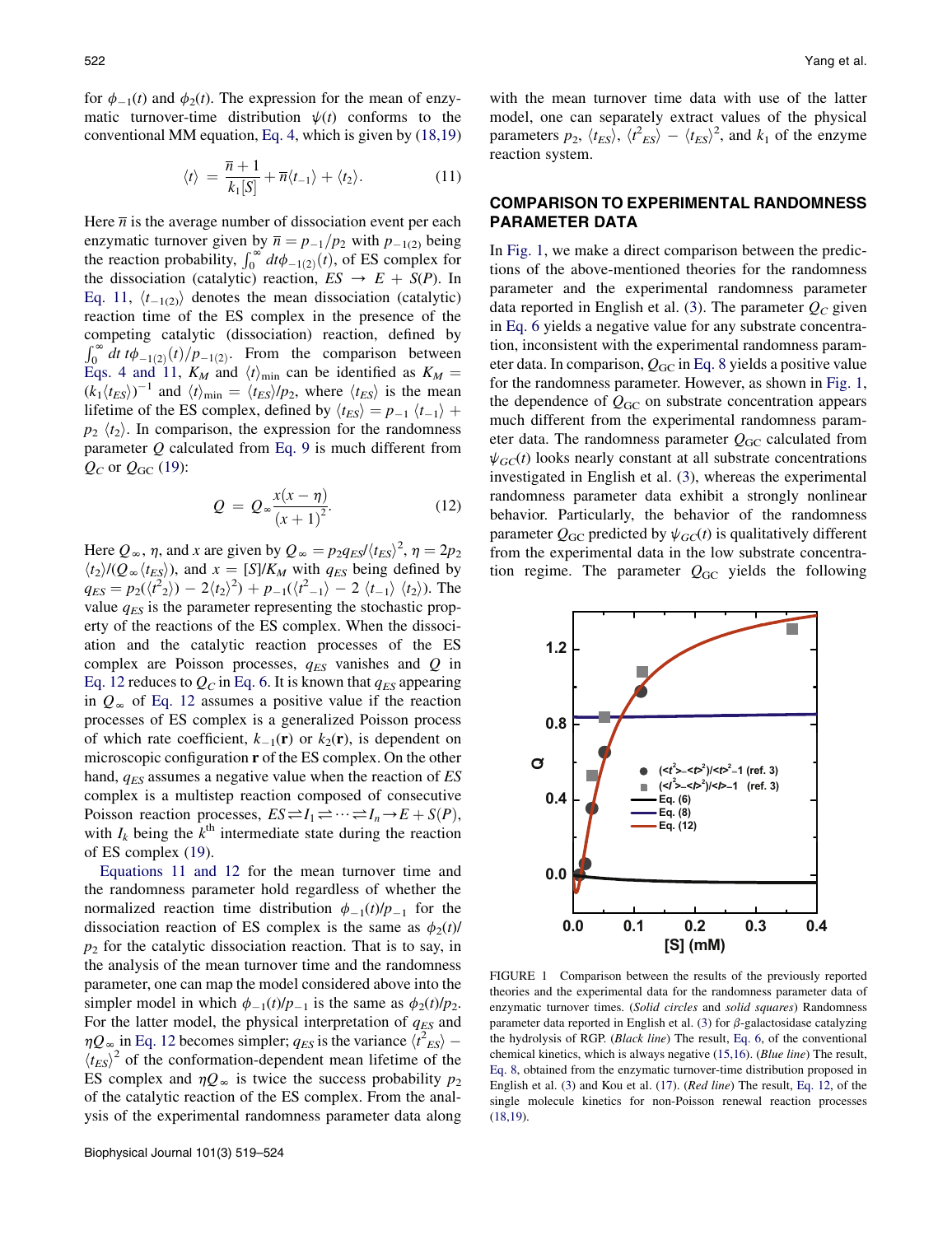<span id="page-3-0"></span>for  $\phi_{-1}(t)$  and  $\phi_2(t)$ . The expression for the mean of enzymatic turnover-time distribution  $\psi(t)$  conforms to the conventional MM equation, Eq. 4, which is given by ([18,19](#page-5-0))

$$
\langle t \rangle = \frac{\overline{n} + 1}{k_1[S]} + \overline{n} \langle t_{-1} \rangle + \langle t_2 \rangle. \tag{11}
$$

Here  $\overline{n}$  is the average number of dissociation event per each enzymatic turnover given by  $\overline{n} = p_{-1}/p_2$  with  $p_{-1(2)}$  being the reaction probability,  $\int_0^\infty dt \phi_{-1(2)}(t)$ , of ES complex for the dissociation (catalytic) reaction,  $ES \rightarrow E + S(P)$ . In Eq. 11,  $\langle t_{-1(2)} \rangle$  denotes the mean dissociation (catalytic) reaction time of the ES complex in the presence of the competing catalytic (dissociation) reaction, defined by  $\int_0^\infty dt \, t \phi_{-1(2)}(t) / p_{-1(2)}$ . From the comparison between Eqs. 4 and 11,  $K_M$  and  $\langle t \rangle_{\text{min}}$  can be identified as  $K_M =$  $(k_1 \langle t_{ES} \rangle)^{-1}$  and  $\langle t \rangle_{\text{min}} = \langle t_{ES} \rangle / p_2$ , where  $\langle t_{ES} \rangle$  is the mean lifetime of the ES complex, defined by  $\langle t_{ES} \rangle = p_{-1} \langle t_{-1} \rangle +$  $p_2 \langle t_2 \rangle$ . In comparison, the expression for the randomness parameter  $Q$  calculated from Eq. 9 is much different from  $Q_C$  or  $Q_{GC}$  ([19\)](#page-5-0):

$$
Q = Q_{\infty} \frac{x(x - \eta)}{(x + 1)^2}.
$$
 (12)

Here  $Q_{\infty}$ ,  $\eta$ , and x are given by  $Q_{\infty} = p_2 q_{ES} / \langle t_{ES} \rangle^2$ ,  $\eta = 2p_2$  $\langle t_2 \rangle / (Q_\infty \langle t_{ES} \rangle)$ , and  $x = [S]/K_M$  with  $q_{ES}$  being defined by  $q_{ES} = p_2(\langle t^2 \rangle) - 2\langle t_2 \rangle^2) + p_{-1}(\langle t^2 \rangle)$  $\langle t_{-1} \rangle - 2 \langle t_{-1} \rangle \langle t_2 \rangle$ ). The value  $q_{ES}$  is the parameter representing the stochastic property of the reactions of the ES complex. When the dissociation and the catalytic reaction processes of the ES complex are Poisson processes,  $q_{ES}$  vanishes and  $Q$  in Eq. 12 reduces to  $Q_C$  in Eq. 6. It is known that  $q_{ES}$  appearing in  $Q_{\infty}$  of Eq. 12 assumes a positive value if the reaction processes of ES complex is a generalized Poisson process of which rate coefficient,  $k_{-1}(\mathbf{r})$  or  $k_2(\mathbf{r})$ , is dependent on microscopic configuration r of the ES complex. On the other hand,  $q_{ES}$  assumes a negative value when the reaction of  $ES$ complex is a multistep reaction composed of consecutive Poisson reaction processes,  $ES = I_1 \rightleftharpoons \cdots \rightleftharpoons I_n \rightarrow E + S(P)$ , with  $I_k$  being the  $k^{\text{th}}$  intermediate state during the reaction of ES complex [\(19](#page-5-0)).

Equations 11 and 12 for the mean turnover time and the randomness parameter hold regardless of whether the normalized reaction time distribution  $\phi_{-1}(t)/p_{-1}$  for the dissociation reaction of ES complex is the same as  $\phi_2(t)$ /  $p_2$  for the catalytic dissociation reaction. That is to say, in the analysis of the mean turnover time and the randomness parameter, one can map the model considered above into the simpler model in which  $\phi_{-1}(t)/p_{-1}$  is the same as  $\phi_2(t)/p_2$ . For the latter model, the physical interpretation of  $q_{ES}$  and  $\eta Q_{\infty}$  in Eq. 12 becomes simpler;  $q_{ES}$  is the variance  $\langle t^2_{ES} \rangle$  –  $\langle t_{ES} \rangle^2$  of the conformation-dependent mean lifetime of the ES complex and  $\eta Q_{\infty}$  is twice the success probability  $p_2$ of the catalytic reaction of the ES complex. From the analysis of the experimental randomness parameter data along with the mean turnover time data with use of the latter model, one can separately extract values of the physical parameters  $p_2$ ,  $\langle t_{ES} \rangle$ ,  $\langle t_{ES}^2 \rangle - \langle t_{ES} \rangle^2$ , and  $k_1$  of the enzyme reaction system.

# COMPARISON TO EXPERIMENTAL RANDOMNESS PARAMETER DATA

In Fig. 1, we make a direct comparison between the predictions of the above-mentioned theories for the randomness parameter and the experimental randomness parameter data reported in English et al. [\(3](#page-5-0)). The parameter  $Q_C$  given in Eq. 6 yields a negative value for any substrate concentration, inconsistent with the experimental randomness parameter data. In comparison,  $Q_{\text{GC}}$  in Eq. 8 yields a positive value for the randomness parameter. However, as shown in Fig. 1, the dependence of  $Q_{\text{GC}}$  on substrate concentration appears much different from the experimental randomness parameter data. The randomness parameter  $Q_{\rm GC}$  calculated from  $\psi_{GC}(t)$  looks nearly constant at all substrate concentrations investigated in English et al. [\(3](#page-5-0)), whereas the experimental randomness parameter data exhibit a strongly nonlinear behavior. Particularly, the behavior of the randomness parameter  $Q_{\text{GC}}$  predicted by  $\psi_{GC}(t)$  is qualitatively different from the experimental data in the low substrate concentration regime. The parameter  $Q_{\text{GC}}$  yields the following



FIGURE 1 Comparison between the results of the previously reported theories and the experimental data for the randomness parameter data of enzymatic turnover times. (Solid circles and solid squares) Randomness parameter data reported in English et al. ([3\)](#page-5-0) for  $\beta$ -galactosidase catalyzing the hydrolysis of RGP. (Black line) The result, Eq. 6, of the conventional chemical kinetics, which is always negative ([15,16\)](#page-5-0). (Blue line) The result, Eq. 8, obtained from the enzymatic turnover-time distribution proposed in English et al. [\(3](#page-5-0)) and Kou et al. [\(17](#page-5-0)). (Red line) The result, Eq. 12, of the single molecule kinetics for non-Poisson renewal reaction processes [\(18,19\)](#page-5-0).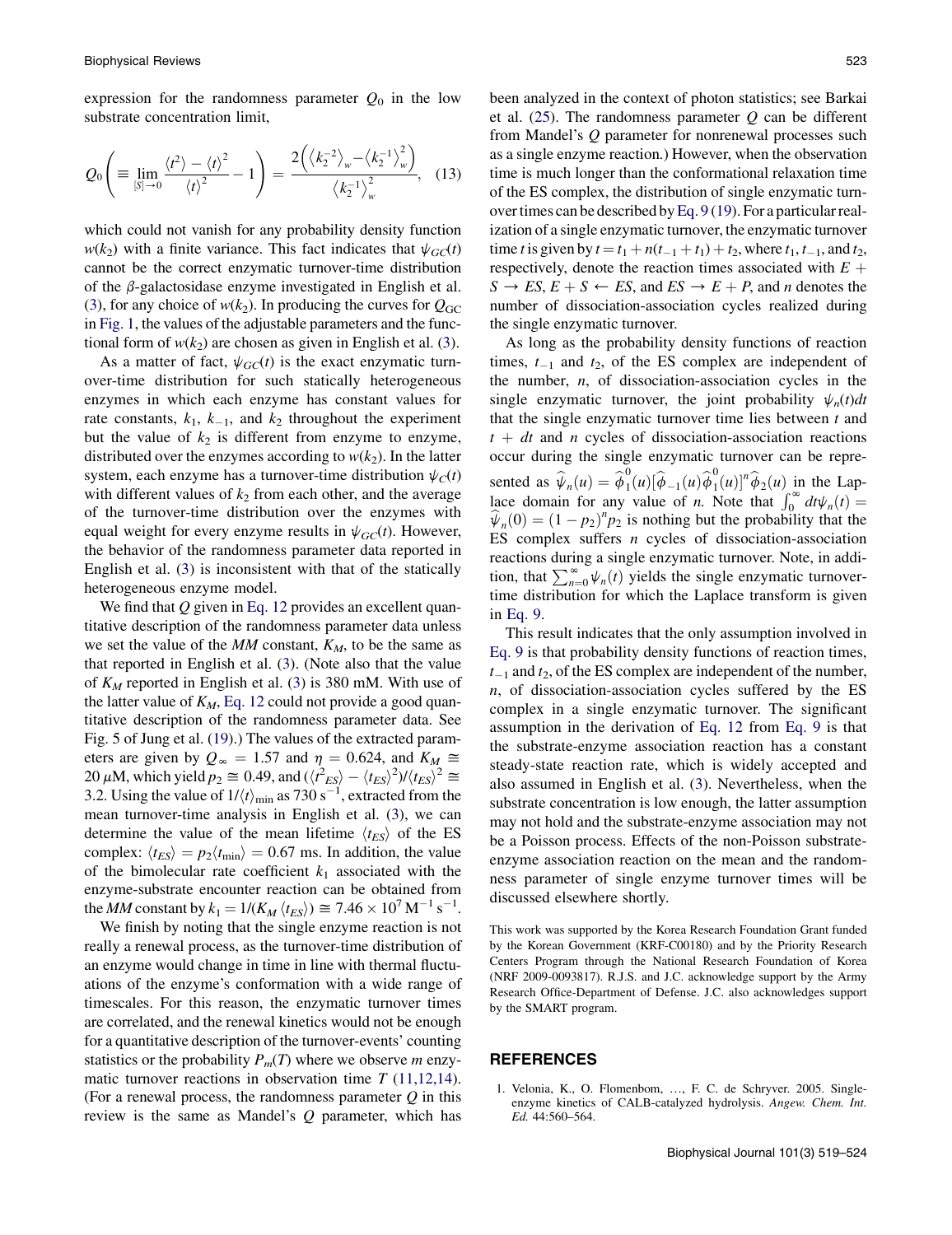<span id="page-4-0"></span>expression for the randomness parameter  $Q_0$  in the low substrate concentration limit,

$$
Q_0\left(\equiv \lim_{\substack{|S|\to 0}} \frac{\langle t^2 \rangle - \langle t \rangle^2}{\langle t \rangle^2} - 1\right) = \frac{2\left(\langle k_2^{-2} \rangle_w - \langle k_2^{-1} \rangle_w^2\right)}{\langle k_2^{-1} \rangle_w^2},\quad(13)
$$

which could not vanish for any probability density function  $w(k_2)$  with a finite variance. This fact indicates that  $\psi_{GC}(t)$ cannot be the correct enzymatic turnover-time distribution of the  $\beta$ -galactosidase enzyme investigated in English et al. ([3\)](#page-5-0), for any choice of  $w(k_2)$ . In producing the curves for  $Q_{\text{GC}}$ in [Fig. 1](#page-3-0), the values of the adjustable parameters and the functional form of  $w(k_2)$  are chosen as given in English et al. ([3\)](#page-5-0).

As a matter of fact,  $\psi_{GC}(t)$  is the exact enzymatic turnover-time distribution for such statically heterogeneous enzymes in which each enzyme has constant values for rate constants,  $k_1$ ,  $k_{-1}$ , and  $k_2$  throughout the experiment but the value of  $k_2$  is different from enzyme to enzyme, distributed over the enzymes according to  $w(k_2)$ . In the latter system, each enzyme has a turnover-time distribution  $\psi_C(t)$ with different values of  $k_2$  from each other, and the average of the turnover-time distribution over the enzymes with equal weight for every enzyme results in  $\psi_{GC}(t)$ . However, the behavior of the randomness parameter data reported in English et al. [\(3](#page-5-0)) is inconsistent with that of the statically heterogeneous enzyme model.

We find that  $Q$  given in Eq. 12 provides an excellent quantitative description of the randomness parameter data unless we set the value of the  $MM$  constant,  $K_M$ , to be the same as that reported in English et al. [\(3\)](#page-5-0). (Note also that the value of  $K_M$  reported in English et al. ([3\)](#page-5-0) is 380 mM. With use of the latter value of  $K_M$ , Eq. 12 could not provide a good quantitative description of the randomness parameter data. See Fig. 5 of Jung et al. ([19\)](#page-5-0).) The values of the extracted parameters are given by  $Q_{\infty} = 1.57$  and  $\eta = 0.624$ , and  $K_M \approx$ 20  $\mu$ M, which yield  $p_2 \approx 0.49$ , and  $(\langle t^2_{ES} \rangle - \langle t_{ES} \rangle^2) / \langle t_{ES} \rangle^2 \approx$ 3.2. Using the value of  $1/\langle t \rangle_{\text{min}}$  as 730 s<sup>-1</sup>, extracted from the mean turnover-time analysis in English et al. [\(3](#page-5-0)), we can determine the value of the mean lifetime  $\langle t_{ES} \rangle$  of the ES complex:  $\langle t_{ES} \rangle = p_2 \langle t_{\text{min}} \rangle = 0.67 \text{ ms}$ . In addition, the value of the bimolecular rate coefficient  $k_1$  associated with the enzyme-substrate encounter reaction can be obtained from the *MM* constant by  $k_1 = 1/(K_M \langle t_{ES} \rangle) \cong 7.46 \times 10^7 \,\mathrm{M}^{-1} \,\mathrm{s}^{-1}$ .

We finish by noting that the single enzyme reaction is not really a renewal process, as the turnover-time distribution of an enzyme would change in time in line with thermal fluctuations of the enzyme's conformation with a wide range of timescales. For this reason, the enzymatic turnover times are correlated, and the renewal kinetics would not be enough for a quantitative description of the turnover-events' counting statistics or the probability  $P_m(T)$  where we observe m enzymatic turnover reactions in observation time  $T(11,12,14)$  $T(11,12,14)$ . (For a renewal process, the randomness parameter  $Q$  in this review is the same as Mandel's  $Q$  parameter, which has been analyzed in the context of photon statistics; see Barkai et al.  $(25)$  $(25)$ . The randomness parameter  $Q$  can be different from Mandel's Q parameter for nonrenewal processes such as a single enzyme reaction.) However, when the observation time is much longer than the conformational relaxation time of the ES complex, the distribution of single enzymatic turnover times can be described byEq. 9 ([19\)](#page-5-0). For a particular realization of a single enzymatic turnover, the enzymatic turnover time *t* is given by  $t = t_1 + n(t_{-1} + t_1) + t_2$ , where  $t_1, t_{-1}$ , and  $t_2$ , respectively, denote the reaction times associated with  $E +$  $S \rightarrow ES, E + S \leftarrow ES$ , and  $ES \rightarrow E + P$ , and *n* denotes the number of dissociation-association cycles realized during the single enzymatic turnover.

As long as the probability density functions of reaction times,  $t_{-1}$  and  $t_2$ , of the ES complex are independent of the number,  $n$ , of dissociation-association cycles in the single enzymatic turnover, the joint probability  $\psi_n(t)dt$ that the single enzymatic turnover time lies between  $t$  and  $t + dt$  and *n* cycles of dissociation-association reactions occur during the single enzymatic turnover can be represented as  $\widehat{\psi}_n(u) = \widehat{\phi}_1^0(u)[\widehat{\phi}_{-1}(u)\widehat{\phi}_1^0(u)]^n \widehat{\phi}_2(u)$  in the Laplace domain for any value of *n*. Note that  $\int_0^\infty dt \psi_n(t) =$  $\hat{\psi}_n(0) = (1 - p_2)^n p_2$  is nothing but the probability that the ES complex suffers  $n$  cycles of dissociation-association reactions during a single enzymatic turnover. Note, in addition, that  $\sum_{n=0}^{\infty} \psi_n(t)$  yields the single enzymatic turnovertime distribution for which the Laplace transform is given in Eq. 9.

This result indicates that the only assumption involved in Eq. 9 is that probability density functions of reaction times,  $t_{-1}$  and  $t_2$ , of the ES complex are independent of the number, n, of dissociation-association cycles suffered by the ES complex in a single enzymatic turnover. The significant assumption in the derivation of Eq. 12 from Eq. 9 is that the substrate-enzyme association reaction has a constant steady-state reaction rate, which is widely accepted and also assumed in English et al. ([3\)](#page-5-0). Nevertheless, when the substrate concentration is low enough, the latter assumption may not hold and the substrate-enzyme association may not be a Poisson process. Effects of the non-Poisson substrateenzyme association reaction on the mean and the randomness parameter of single enzyme turnover times will be discussed elsewhere shortly.

This work was supported by the Korea Research Foundation Grant funded by the Korean Government (KRF-C00180) and by the Priority Research Centers Program through the National Research Foundation of Korea (NRF 2009-0093817). R.J.S. and J.C. acknowledge support by the Army Research Office-Department of Defense. J.C. also acknowledges support by the SMART program.

#### REFERENCES

1. Velonia, K., O. Flomenbom, ..., F. C. de Schryver. 2005. Singleenzyme kinetics of CALB-catalyzed hydrolysis. Angew. Chem. Int. Ed. 44:560–564.